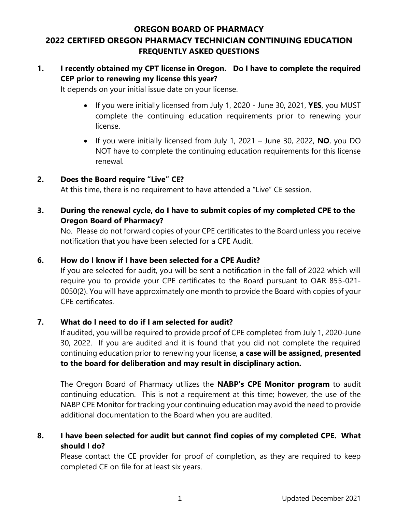# **OREGON BOARD OF PHARMACY 2022 CERTIFED OREGON PHARMACY TECHNICIAN CONTINUING EDUCATION FREQUENTLY ASKED QUESTIONS**

# **1. I recently obtained my CPT license in Oregon. Do I have to complete the required CEP prior to renewing my license this year?**

It depends on your initial issue date on your license.

- If you were initially licensed from July 1, 2020 June 30, 2021, **YES**, you MUST complete the continuing education requirements prior to renewing your license.
- If you were initially licensed from July 1, 2021 June 30, 2022, **NO**, you DO NOT have to complete the continuing education requirements for this license renewal.

#### **2. Does the Board require "Live" CE?**

At this time, there is no requirement to have attended a "Live" CE session.

# **3. During the renewal cycle, do I have to submit copies of my completed CPE to the Oregon Board of Pharmacy?**

No. Please do not forward copies of your CPE certificates to the Board unless you receive notification that you have been selected for a CPE Audit.

#### **6. How do I know if I have been selected for a CPE Audit?**

If you are selected for audit, you will be sent a notification in the fall of 2022 which will require you to provide your CPE certificates to the Board pursuant to OAR 855-021- 0050(2). You will have approximately one month to provide the Board with copies of your CPE certificates.

#### **7. What do I need to do if I am selected for audit?**

If audited, you will be required to provide proof of CPE completed from July 1, 2020-June 30, 2022. If you are audited and it is found that you did not complete the required continuing education prior to renewing your license, **a case will be assigned, presented to the board for deliberation and may result in disciplinary action.** 

The Oregon Board of Pharmacy utilizes the **NABP's CPE Monitor program** to audit continuing education. This is not a requirement at this time; however, the use of the NABP CPE Monitor for tracking your continuing education may avoid the need to provide additional documentation to the Board when you are audited.

### **8. I have been selected for audit but cannot find copies of my completed CPE. What should I do?**

Please contact the CE provider for proof of completion, as they are required to keep completed CE on file for at least six years.